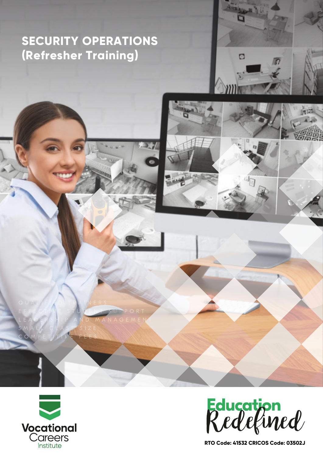# **SECURITY OPERATIONS (Refresher Training)**





 $\Box$ 

**RTO Code: 41532 CRICOS Code: 03502J**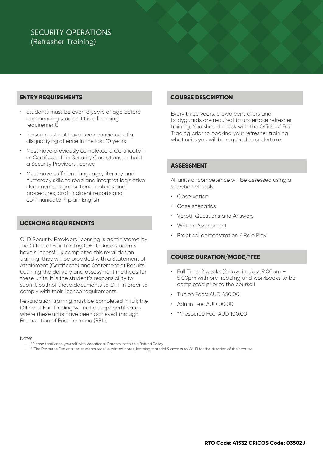## SECURITY OPERATIONS (Refresher Training)

#### **ENTRY REQUIREMENTS**

- Students must be over 18 years of age before commencing studies. (It is a licensing requirement)
- Person must not have been convicted of a disqualifying offence in the last 10 years
- Must have previously completed a Certificate II or Certificate III in Security Operations; or hold a Security Providers licence
- Must have sufficient language, literacy and numeracy skills to read and interpret legislative documents, organisational policies and procedures, draft incident reports and communicate in plain English

#### **LICENCING REQUIREMENTS**

QLD Security Providers licensing is administered by the Office of Fair Trading (OFT). Once students have successfully completed this revalidation training, they will be provided with a Statement of Attainment (Certificate) and Statement of Results outlining the delivery and assessment methods for these units. It is the student's responsibility to submit both of these documents to OFT in order to comply with their licence requirements.

Revalidation training must be completed in full; the Office of Fair Trading will not accept certificates where these units have been achieved through Recognition of Prior Learning (RPL).

#### **COURSE DESCRIPTION**

Every three years, crowd controllers and bodyguards are required to undertake refresher training. You should check with the Office of Fair Trading prior to booking your refresher training what units you will be required to undertake.

#### **ASSESSMENT**

All units of competence will be assessed using a selection of tools:

- **Observation**
- Case scenarios
- Verbal Questions and Answers
- Written Assessment
- Practical demonstration / Role Play

#### **COURSE DURATION/MODE/\*FEE**

- Full Time: 2 weeks (2 days in class 9.00am 5.00pm with pre-reading and workbooks to be completed prior to the course.)
- Tuition Fees: AUD 450.00
- Admin Fee: AUD 00.00
- \*\*Resource Fee: AUD 100.00

Note:

- \*Please familiarise yourself with Vocational Careers Institute's Refund Policy
- \*\*The Resource Fee ensures students receive printed notes, learning material & access to Wi-Fi for the duration of their course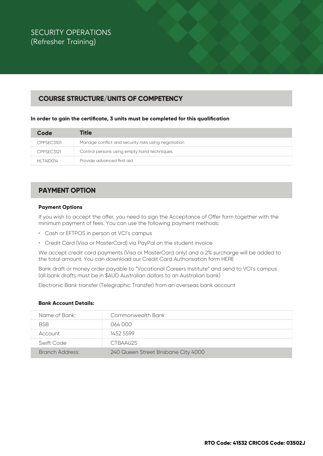## **COURSE STRUCTURE/UNITS OF COMPETENCY**

#### **In order to gain the certificate, 3 units must be completed for this qualification**

| Code       | <b>Title</b>                                         |
|------------|------------------------------------------------------|
| CPPSEC3101 | Manage conflict and security risks using negotiation |
| CPPSEC3121 | Control persons using empty hand techniques          |
| HLTAID014  | Provide advanced first aid                           |

### **PAYMENT OPTION**

#### **Payment Options**

If you wish to accept the offer, you need to sign the Acceptance of Offer form together with the minimum payment of fees. You can use the following payment methods:

- Cash or EFTPOS in person at VCI's campus
- Credit Card (Visa or MasterCard) via PayPal on the student invoice

We accept credit card payments (Visa or MasterCard only) and a 2% surcharge will be added to the total amount. You can download our Credit Card Authorisation form HERE

Bank draft or money order payable to "Vocational Careers Institute" and send to VCI's campus (all bank drafts must be in \$AUD Australian dollars to an Australian bank)

Electronic Bank transfer (Telegraphic Transfer) from an overseas bank account

#### **Bank Account Details:**

| Name of Bank:   | <b>Commonwealth Bank</b>            |
|-----------------|-------------------------------------|
| <b>BSB</b>      | 064 000                             |
| Account         | 1452 5599                           |
| Swift Code      | CTBAAU2S                            |
| Branch Address: | 240 Queen Street Brisbane City 4000 |